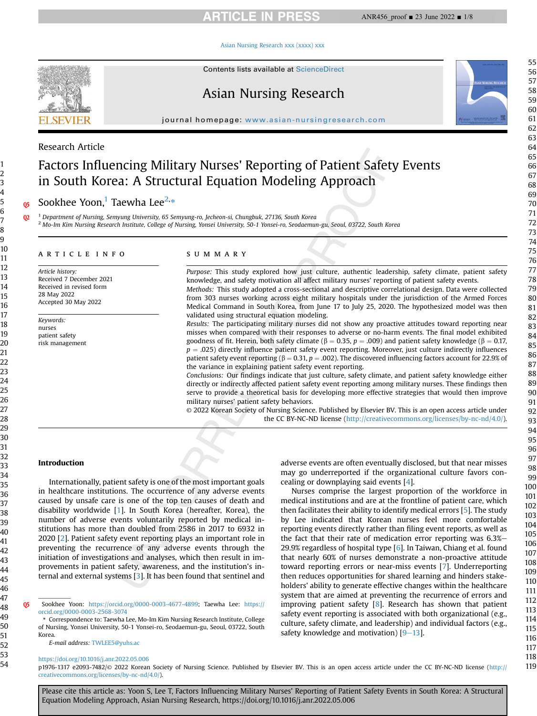## **ARTICLE IN PRESS**

#### [Asian Nursing Research xxx \(xxxx\) xxx](https://doi.org/10.1016/j.anr.2022.05.006)



Contents lists available at ScienceDirect

## Asian Nursing Research

journal homepage: [www.asian-nursingresearch.com](http://www.asian-nursingresearch.com)

## Research Article

# Factors Influencing Military Nurses' Reporting of Patient Safety Events in South Korea: A Structural Equation Modeling Approach

os Sookhee Yoon,<sup>[1](#page-0-0)</sup> Taewha Lee<sup>[2](#page-0-1),</sup>[\\*](#page-0-2)

<span id="page-0-1"></span><span id="page-0-0"></span>02<sup>1</sup> Department of Nursing, Semyung University, 65 Semyung-ro, Jecheon-si, Chungbuk, 27136, South Korea <sup>2</sup> Mo-Im Kim Nursing Research Institute, College of Nursing, Yonsei University, 50-1 Yonsei-ro, Seodaemun-gu, Seoul, 03722, South Korea

#### article info

Article history: Received 7 December 2021 Received in revised form 28 May 2022 Accepted 30 May 2022

Keywords: nurses patient safety risk management

#### summary

Purpose: This study explored how just culture, authentic leadership, safety climate, patient safety knowledge, and safety motivation all affect military nurses' reporting of patient safety events. Methods: This study adopted a cross-sectional and descriptive correlational design. Data were collected from 303 nurses working across eight military hospitals under the jurisdiction of the Armed Forces Medical Command in South Korea, from June 17 to July 25, 2020. The hypothesized model was then validated using structural equation modeling.

Results: The participating military nurses did not show any proactive attitudes toward reporting near misses when compared with their responses to adverse or no-harm events. The final model exhibited goodness of fit. Herein, both safety climate ( $\beta = 0.35$ ,  $p = .009$ ) and patient safety knowledge ( $\beta = 0.17$ ,  $p = .025$ ) directly influence patient safety event reporting. Moreover, just culture indirectly influences patient safety event reporting ( $\beta = 0.31$ ,  $p = .002$ ). The discovered influencing factors account for 22.9% of the variance in explaining patient safety event reporting.

Conclusions: Our findings indicate that just culture, safety climate, and patient safety knowledge either directly or indirectly affected patient safety event reporting among military nurses. These findings then serve to provide a theoretical basis for developing more effective strategies that would then improve military nurses' patient safety behaviors.

© 2022 Korean Society of Nursing Science. Published by Elsevier BV. This is an open access article under the CC BY-NC-ND license [\(http://creativecommons.org/licenses/by-nc-nd/4.0/](http://creativecommons.org/licenses/by-nc-nd/4.0/)).

## Introduction

Internationally, patient safety is one of the most important goals in healthcare institutions. The occurrence of any adverse events caused by unsafe care is one of the top ten causes of death and disability worldwide [[1](#page-6-0)]. In South Korea (hereafter, Korea), the number of adverse events voluntarily reported by medical institutions has more than doubled from 2586 in 2017 to 6932 in 2020 [[2\]](#page-6-1). Patient safety event reporting plays an important role in preventing the recurrence of any adverse events through the initiation of investigations and analyses, which then result in improvements in patient safety, awareness, and the institution's internal and external systems [\[3\]](#page-6-2). It has been found that sentinel and

Q5 Sookhee Yoon: [https://orcid.org/0000-0003-4677-4899;](https://orcid.org/0000-0003-4677-4899) Taewha Lee: [https://](https://orcid.org/0000-0003-2568-3074) [orcid.org/0000-0003-2568-3074](https://orcid.org/0000-0003-2568-3074)

<span id="page-0-2"></span>\* Correspondence to: Taewha Lee, Mo-Im Kim Nursing Research Institute, College of Nursing, Yonsei University, 50-1 Yonsei-ro, Seodaemun-gu, Seoul, 03722, South Korea.

E-mail address: [TWLEE5@yuhs.ac](mailto:TWLEE5@yuhs.ac)

#### <https://doi.org/10.1016/j.anr.2022.05.006>

p1976-1317 e2093-7482/© 2022 Korean Society of Nursing Science. Published by Elsevier BV. This is an open access article under the CC BY-NC-ND license ([http://](http://creativecommons.org/licenses/by-nc-nd/4.0/) [creativecommons.org/licenses/by-nc-nd/4.0/](http://creativecommons.org/licenses/by-nc-nd/4.0/)).

Please cite this article as: Yoon S, Lee T, Factors Influencing Military Nurses' Reporting of Patient Safety Events in South Korea: A Structural Equation Modeling Approach, Asian Nursing Research, https://doi.org/10.1016/j.anr.2022.05.006

adverse events are often eventually disclosed, but that near misses may go underreported if the organizational culture favors concealing or downplaying said events [[4](#page-6-3)].

Nurses comprise the largest proportion of the workforce in medical institutions and are at the frontline of patient care, which then facilitates their ability to identify medical errors [\[5](#page-6-4)]. The study by Lee indicated that Korean nurses feel more comfortable reporting events directly rather than filing event reports, as well as the fact that their rate of medication error reporting was  $6.3%$ 29.9% regardless of hospital type  $[6]$  $[6]$  $[6]$ . In Taiwan, Chiang et al. found that nearly 60% of nurses demonstrate a non-proactive attitude toward reporting errors or near-miss events [[7](#page-6-6)]. Underreporting then reduces opportunities for shared learning and hinders stakeholders' ability to generate effective changes within the healthcare system that are aimed at preventing the recurrence of errors and improving patient safety [\[8](#page-6-7)]. Research has shown that patient safety event reporting is associated with both organizational (e.g., culture, safety climate, and leadership) and individual factors (e.g., safety knowledge and motivation)  $[9-13]$  $[9-13]$  $[9-13]$  $[9-13]$ .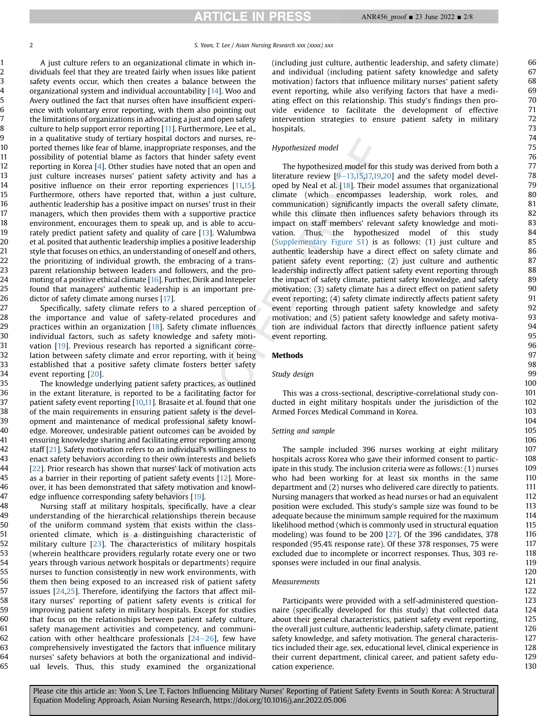A just culture refers to an organizational climate in which individuals feel that they are treated fairly when issues like patient safety events occur, which then creates a balance between the organizational system and individual accountability [[14\]](#page-6-9). Woo and Avery outlined the fact that nurses often have insufficient experience with voluntary error reporting, with them also pointing out the limitations of organizations in advocating a just and open safety culture to help support error reporting [\[11\]](#page-6-10). Furthermore, Lee et al., in a qualitative study of tertiary hospital doctors and nurses, reported themes like fear of blame, inappropriate responses, and the possibility of potential blame as factors that hinder safety event reporting in Korea [\[4\]](#page-6-3). Other studies have noted that an open and just culture increases nurses' patient safety activity and has a positive influence on their error reporting experiences [[11,](#page-6-10)[15](#page-6-11)]. Furthermore, others have reported that, within a just culture, authentic leadership has a positive impact on nurses' trust in their managers, which then provides them with a supportive practice environment, encourages them to speak up, and is able to accurately predict patient safety and quality of care [[13\]](#page-6-12). Walumbwa et al. posited that authentic leadership implies a positive leadership style that focuses on ethics, an understanding of oneself and others, the prioritizing of individual growth, the embracing of a transparent relationship between leaders and followers, and the promoting of a positive ethical climate [\[16](#page-6-13)]. Further, Dirik and Intepeler found that managers' authentic leadership is an important predictor of safety climate among nurses [[17](#page-6-14)].

Specifically, safety climate refers to a shared perception of the importance and value of safety-related procedures and practices within an organization [[18](#page-6-15)]. Safety climate influences individual factors, such as safety knowledge and safety motivation [[19\]](#page-6-16). Previous research has reported a significant correlation between safety climate and error reporting, with it being established that a positive safety climate fosters better safety event reporting [\[20](#page-6-17)].

The knowledge underlying patient safety practices, as outlined in the extant literature, is reported to be a facilitating factor for patient safety event reporting [[10,](#page-6-18)[11\]](#page-6-10). Brasaite et al. found that one of the main requirements in ensuring patient safety is the development and maintenance of medical professional safety knowledge. Moreover, undesirable patient outcomes can be avoided by ensuring knowledge sharing and facilitating error reporting among staff [\[21](#page-6-19)]. Safety motivation refers to an individual's willingness to enact safety behaviors according to their own interests and beliefs [[22](#page-6-20)]. Prior research has shown that nurses' lack of motivation acts as a barrier in their reporting of patient safety events [[12\]](#page-6-21). Moreover, it has been demonstrated that safety motivation and knowledge influence corresponding safety behaviors [[19](#page-6-16)].

Nursing staff at military hospitals, specifically, have a clear understanding of the hierarchical relationships therein because of the uniform command system that exists within the classoriented climate, which is a distinguishing characteristic of military culture [\[23\]](#page-6-22). The characteristics of military hospitals (wherein healthcare providers regularly rotate every one or two years through various network hospitals or departments) require nurses to function consistently in new work environments, with them then being exposed to an increased risk of patient safety issues [\[24,](#page-6-23)[25](#page-6-24)]. Therefore, identifying the factors that affect military nurses' reporting of patient safety events is critical for improving patient safety in military hospitals. Except for studies that focus on the relationships between patient safety culture, safety management activities and competency, and communication with other healthcare professionals  $[24-26]$  $[24-26]$  $[24-26]$  $[24-26]$  $[24-26]$ , few have comprehensively investigated the factors that influence military nurses' safety behaviors at both the organizational and individual levels. Thus, this study examined the organizational (including just culture, authentic leadership, and safety climate) and individual (including patient safety knowledge and safety motivation) factors that influence military nurses' patient safety event reporting, while also verifying factors that have a mediating effect on this relationship. This study's findings then provide evidence to facilitate the development of effective intervention strategies to ensure patient safety in military hospitals.

## Hypothesized model

The hypothesized model for this study was derived from both a literature review  $[9-13,15,17,19,20]$  $[9-13,15,17,19,20]$  $[9-13,15,17,19,20]$  $[9-13,15,17,19,20]$  $[9-13,15,17,19,20]$  $[9-13,15,17,19,20]$  $[9-13,15,17,19,20]$  $[9-13,15,17,19,20]$  and the safety model developed by Neal et al. [[18\]](#page-6-15). Their model assumes that organizational climate (which encompasses leadership, work roles, and communication) significantly impacts the overall safety climate, while this climate then influences safety behaviors through its impact on staff members' relevant safety knowledge and motivation. Thus, the hypothesized model of this study (Supplementary Figure S1) is as follows: (1) just culture and authentic leadership have a direct effect on safety climate and patient safety event reporting; (2) just culture and authentic leadership indirectly affect patient safety event reporting through the impact of safety climate, patient safety knowledge, and safety motivation; (3) safety climate has a direct effect on patient safety event reporting; (4) safety climate indirectly affects patient safety event reporting through patient safety knowledge and safety motivation; and (5) patient safety knowledge and safety motivation are individual factors that directly influence patient safety event reporting.

## Methods

## Study design

This was a cross-sectional, descriptive-correlational study conducted in eight military hospitals under the jurisdiction of the Armed Forces Medical Command in Korea.

#### Setting and sample

The sample included 396 nurses working at eight military hospitals across Korea who gave their informed consent to participate in this study. The inclusion criteria were as follows: (1) nurses who had been working for at least six months in the same department and (2) nurses who delivered care directly to patients. Nursing managers that worked as head nurses or had an equivalent position were excluded. This study's sample size was found to be adequate because the minimum sample required for the maximum likelihood method (which is commonly used in structural equation modeling) was found to be 200 [\[27](#page-6-25)]. Of the 396 candidates, 378 responded (95.4% response rate). Of these 378 responses, 75 were excluded due to incomplete or incorrect responses. Thus, 303 responses were included in our final analysis.

## Measurements

Participants were provided with a self-administered questionnaire (specifically developed for this study) that collected data about their general characteristics, patient safety event reporting, the overall just culture, authentic leadership, safety climate, patient safety knowledge, and safety motivation. The general characteristics included their age, sex, educational level, clinical experience in their current department, clinical career, and patient safety education experience.

130

Please cite this article as: Yoon S, Lee T, Factors Influencing Military Nurses' Reporting of Patient Safety Events in South Korea: A Structural Equation Modeling Approach, Asian Nursing Research, https://doi.org/10.1016/j.anr.2022.05.006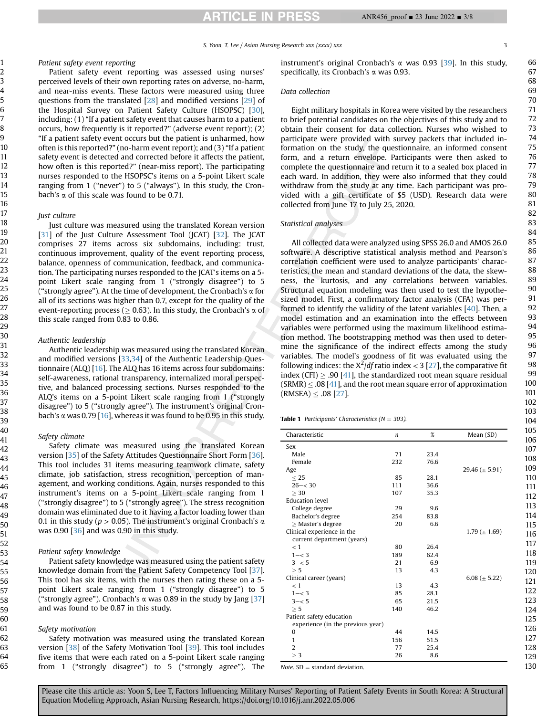S. Yoon, T. Lee / Asian Nursing Research xxx (xxxx) xxx 3

#### Patient safety event reporting

Patient safety event reporting was assessed using nurses' perceived levels of their own reporting rates on adverse, no-harm, and near-miss events. These factors were measured using three questions from the translated [[28](#page-6-26)] and modified versions [[29](#page-6-27)] of the Hospital Survey on Patient Safety Culture (HSOPSC) [\[30\]](#page-6-28), including: (1) "If a patient safety event that causes harm to a patient occurs, how frequently is it reported?" (adverse event report); (2) "If a patient safety event occurs but the patient is unharmed, how often is this reported?" (no-harm event report); and (3) "If a patient safety event is detected and corrected before it affects the patient, how often is this reported?" (near-miss report). The participating nurses responded to the HSOPSC's items on a 5-point Likert scale ranging from 1 ("never") to 5 ("always"). In this study, the Cronbach's  $\alpha$  of this scale was found to be 0.71.

#### Just culture

Just culture was measured using the translated Korean version [\[31\]](#page-6-29) of the Just Culture Assessment Tool (JCAT) [[32](#page-7-0)]. The JCAT comprises 27 items across six subdomains, including: trust, continuous improvement, quality of the event reporting process, balance, openness of communication, feedback, and communication. The participating nurses responded to the JCAT's items on a 5 point Likert scale ranging from 1 ("strongly disagree") to 5 ("strongly agree"). At the time of development, the Cronbach's  $\alpha$  for all of its sections was higher than 0.7, except for the quality of the event-reporting process ( $\geq$  0.63). In this study, the Cronbach's  $\alpha$  of this scale ranged from 0.83 to 0.86.

#### Authentic leadership

Authentic leadership was measured using the translated Korean and modified versions [\[33,](#page-7-1)[34](#page-7-2)] of the Authentic Leadership Questionnaire (ALQ) [\[16\]](#page-6-13). The ALQ has 16 items across four subdomains: self-awareness, rational transparency, internalized moral perspective, and balanced processing sections. Nurses responded to the ALQ's items on a 5-point Likert scale ranging from 1 ("strongly disagree") to 5 ("strongly agree"). The instrument's original Cronbach's  $\alpha$  was 0.79 [\[16](#page-6-13)], whereas it was found to be 0.95 in this study.

#### Safety climate

Safety climate was measured using the translated Korean version [\[35\]](#page-7-3) of the Safety Attitudes Questionnaire Short Form [\[36\]](#page-7-4). This tool includes 31 items measuring teamwork climate, safety climate, job satisfaction, stress recognition, perception of management, and working conditions. Again, nurses responded to this instrument's items on a 5-point Likert scale ranging from 1 ("strongly disagree") to 5 ("strongly agree"). The stress recognition domain was eliminated due to it having a factor loading lower than 0.1 in this study ( $p > 0.05$ ). The instrument's original Cronbach's  $\alpha$ was  $0.90$  [ $36$ ] and was  $0.90$  in this study.

#### Patient safety knowledge

Patient safety knowledge was measured using the patient safety knowledge domain from the Patient Safety Competency Tool [\[37\]](#page-7-5). This tool has six items, with the nurses then rating these on a 5 point Likert scale ranging from 1 ("strongly disagree") to 5 ("strongly agree"). Cronbach's  $\alpha$  was 0.89 in the study by Jang [\[37\]](#page-7-5) and was found to be 0.87 in this study.

#### Safety motivation

Safety motivation was measured using the translated Korean version [\[38\]](#page-7-6) of the Safety Motivation Tool [[39](#page-7-7)]. This tool includes five items that were each rated on a 5-point Likert scale ranging from 1 ("strongly disagree") to 5 ("strongly agree"). The instrument's original Cronbach's  $\alpha$  was 0.93 [\[39\]](#page-7-7). In this study, specifically, its Cronbach's a was 0.93.

## Data collection

Eight military hospitals in Korea were visited by the researchers to brief potential candidates on the objectives of this study and to obtain their consent for data collection. Nurses who wished to participate were provided with survey packets that included information on the study, the questionnaire, an informed consent form, and a return envelope. Participants were then asked to complete the questionnaire and return it to a sealed box placed in each ward. In addition, they were also informed that they could withdraw from the study at any time. Each participant was provided with a gift certificate of \$5 (USD). Research data were collected from June 17 to July 25, 2020.

## Statistical analyses

All collected data were analyzed using SPSS 26.0 and AMOS 26.0 software. A descriptive statistical analysis method and Pearson's correlation coefficient were used to analyze participants' characteristics, the mean and standard deviations of the data, the skewness, the kurtosis, and any correlations between variables. Structural equation modeling was then used to test the hypothesized model. First, a confirmatory factor analysis (CFA) was performed to identify the validity of the latent variables [\[40\]](#page-7-8). Then, a model estimation and an examination into the effects between variables were performed using the maximum likelihood estimation method. The bootstrapping method was then used to determine the significance of the indirect effects among the study variables. The model's goodness of fit was evaluated using the following indices: the  $X^2/df$  ratio index < 3 [\[27\]](#page-6-25), the comparative fit index (CFI)  $\geq$  .90 [[41\]](#page-7-9), the standardized root mean square residual  $(SRMR) \le .08$  [\[41](#page-7-9)], and the root mean square error of approximation  $(RMSEA) \le .08$  [[27](#page-6-25)].

<span id="page-2-0"></span>

|  |  | <b>Table 1</b> Participants' Characteristics ( $N = 303$ ). |  |  |
|--|--|-------------------------------------------------------------|--|--|
|--|--|-------------------------------------------------------------|--|--|

| Characteristic                    | n   | $\%$ | Mean (SD)           |
|-----------------------------------|-----|------|---------------------|
| Sex                               |     |      |                     |
| Male                              | 71  | 23.4 |                     |
| Female                            | 232 | 76.6 |                     |
| Age                               |     |      | 29.46 ( $\pm$ 5.91) |
| < 25                              | 85  | 28.1 |                     |
| $26 - < 30$                       | 111 | 36.6 |                     |
| > 30                              | 107 | 35.3 |                     |
| <b>Education level</b>            |     |      |                     |
| College degree                    | 29  | 9.6  |                     |
| Bachelor's degree                 | 254 | 83.8 |                     |
| $\geq$ Master's degree            | 20  | 6.6  |                     |
| Clinical experience in the        |     |      | 1.79 ( $\pm$ 1.69)  |
| current department (years)        |     |      |                     |
| < 1                               | 80  | 26.4 |                     |
| $1 - < 3$                         | 189 | 62.4 |                     |
| $3 - 5$                           | 21  | 6.9  |                     |
| > 5                               | 13  | 4.3  |                     |
| Clinical career (years)           |     |      | 6.08 ( $\pm$ 5.22)  |
| < 1                               | 13  | 4.3  |                     |
| $1 - < 3$                         | 85  | 28.1 |                     |
| $3 - 5$                           | 65  | 21.5 |                     |
| > 5                               | 140 | 46.2 |                     |
| Patient safety education          |     |      |                     |
| experience (in the previous year) |     |      |                     |
| 0                                 | 44  | 14.5 |                     |
| 1                                 | 156 | 51.5 |                     |
| $\overline{2}$                    | 77  | 25.4 |                     |
| $\geq 3$                          | 26  | 8.6  |                     |

Note.  $SD =$  standard deviation.

66

Please cite this article as: Yoon S, Lee T, Factors Influencing Military Nurses' Reporting of Patient Safety Events in South Korea: A Structural Equation Modeling Approach, Asian Nursing Research, https://doi.org/10.1016/j.anr.2022.05.006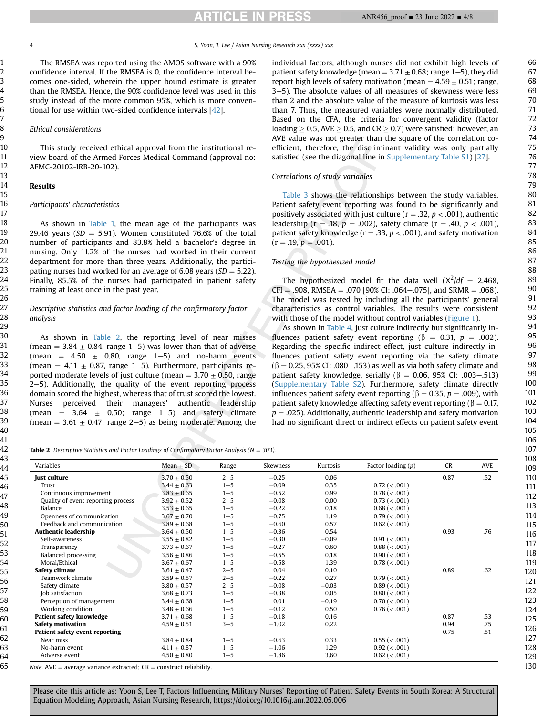**ARTICLE IN PRESS** 

The RMSEA was reported using the AMOS software with a 90% confidence interval. If the RMSEA is 0, the confidence interval becomes one-sided, wherein the upper bound estimate is greater than the RMSEA. Hence, the 90% confidence level was used in this study instead of the more common 95%, which is more conventional for use within two-sided confidence intervals [\[42\]](#page-7-10).

#### Ethical considerations

This study received ethical approval from the institutional review board of the Armed Forces Medical Command (approval no: AFMC-20102-IRB-20-102).

## Results

### Participants' characteristics

As shown in [Table 1,](#page-2-0) the mean age of the participants was 29.46 years ( $SD = 5.91$ ). Women constituted 76.6% of the total number of participants and 83.8% held a bachelor's degree in nursing. Only 11.2% of the nurses had worked in their current department for more than three years. Additionally, the participating nurses had worked for an average of 6.08 years ( $SD = 5.22$ ). Finally, 85.5% of the nurses had participated in patient safety training at least once in the past year.

## Descriptive statistics and factor loading of the confirmatory factor analysis

As shown in [Table 2](#page-3-0), the reporting level of near misses (mean  $=$  3.84  $\pm$  0.84, range 1–5) was lower than that of adverse (mean =  $4.50 \pm 0.80$ , range 1-5) and no-harm events (mean =  $4.11 \pm 0.87$ , range 1-5). Furthermore, participants reported moderate levels of just culture (mean  $=$  3.70  $\pm$  0.50, range  $2-5$ ). Additionally, the quality of the event reporting process domain scored the highest, whereas that of trust scored the lowest. Nurses perceived their managers' authentic leadership (mean  $=$  3.64  $\pm$  0.50; range 1–5) and safety climate (mean  $= 3.61 \pm 0.47$ ; range 2–5) as being moderate. Among the

individual factors, although nurses did not exhibit high levels of patient safety knowledge (mean =  $3.71 \pm 0.68$ ; range 1-5), they did report high levels of safety motivation (mean  $=$  4.59  $\pm$  0.51; range, 3-5). The absolute values of all measures of skewness were less than 2 and the absolute value of the measure of kurtosis was less than 7. Thus, the measured variables were normally distributed. Based on the CFA, the criteria for convergent validity (factor loading  $\geq$  0.5, AVE  $\geq$  0.5, and CR  $\geq$  0.7) were satisfied; however, an AVE value was not greater than the square of the correlation coefficient, therefore, the discriminant validity was only partially satisfied (see the diagonal line in Supplementary Table S1) [\[27\]](#page-6-25).

## Correlations of study variables

[Table 3](#page-4-0) shows the relationships between the study variables. Patient safety event reporting was found to be significantly and positively associated with just culture ( $r = .32$ ,  $p < .001$ ), authentic leadership (r = .18,  $p = .002$ ), safety climate (r = .40,  $p < .001$ ), patient safety knowledge ( $r = .33$ ,  $p < .001$ ), and safety motivation  $(r = .19, p = .001).$ 

#### Testing the hypothesized model

The hypothesized model fit the data well  $(X^2/df = 2.468,$  $CFI = .908$ , RMSEA = .070 [90% CI: .064–.075], and SRMR = .068). The model was tested by including all the participants' general characteristics as control variables. The results were consistent with those of the model without control variables ([Figure 1\)](#page-4-1).

As shown in [Table 4,](#page-5-0) just culture indirectly but significantly influences patient safety event reporting ( $\beta = 0.31$ ,  $p = .002$ ). Regarding the specific indirect effect, just culture indirectly influences patient safety event reporting via the safety climate  $(\beta = 0.25, 95\%$  CI: .080–.153) as well as via both safety climate and patient safety knowledge, serially ( $\beta = 0.06$ , 95% CI: .003–.513) (Supplementary Table S2). Furthermore, safety climate directly influences patient safety event reporting ( $\beta = 0.35$ ,  $p = .009$ ), with patient safety knowledge affecting safety event reporting ( $\beta = 0.17$ ,  $p = .025$ ). Additionally, authentic leadership and safety motivation had no significant direct or indirect effects on patient safety event

<span id="page-3-0"></span>Table 2 Descriptive Statistics and Factor Loadings of Confirmatory Factor Analysis ( $N = 303$ ).

| Variables                          | Mean $\pm$ SD   | Range   | Skewness | Kurtosis | Factor loading $(p)$ | <b>CR</b> | AVE |
|------------------------------------|-----------------|---------|----------|----------|----------------------|-----------|-----|
| Just culture                       | $3.70 \pm 0.50$ | $2 - 5$ | $-0.25$  | 0.06     |                      | 0.87      | .52 |
| Trust                              | $3.44 \pm 0.63$ | $1 - 5$ | $-0.09$  | 0.35     | $0.72$ ( $< .001$ )  |           |     |
| Continuous improvement             | $3.83 \pm 0.65$ | $1 - 5$ | $-0.52$  | 0.99     | 0.78 (< .001)        |           |     |
| Quality of event reporting process | $3.92 \pm 0.52$ | $2 - 5$ | $-0.08$  | 0.00     | 0.73 (< .001)        |           |     |
| Balance                            | $3.53 \pm 0.65$ | $1 - 5$ | $-0.22$  | 0.18     | 0.68 (< .001)        |           |     |
| Openness of communication          | $3.67 \pm 0.70$ | $1 - 5$ | $-0.75$  | 1.19     | 0.79 (< .001)        |           |     |
| Feedback and communication         | $3.89 \pm 0.68$ | $1 - 5$ | $-0.60$  | 0.57     | $0.62$ ( $< .001$ )  |           |     |
| <b>Authentic leadership</b>        | $3.64 \pm 0.50$ | $1 - 5$ | $-0.36$  | 0.54     |                      | 0.93      | .76 |
| Self-awareness                     | $3.55 \pm 0.82$ | $1 - 5$ | $-0.30$  | $-0.09$  | 0.91 (< .001)        |           |     |
| Transparency                       | $3.73 \pm 0.67$ | $1 - 5$ | $-0.27$  | 0.60     | 0.88 (< .001)        |           |     |
| Balanced processing                | $3.56 \pm 0.86$ | $1 - 5$ | $-0.55$  | 0.18     | 0.90 (< .001)        |           |     |
| Moral/Ethical                      | $3.67 \pm 0.67$ | $1 - 5$ | $-0.58$  | 1.39     | 0.78 (< .001)        |           |     |
| Safety climate                     | $3.61 \pm 0.47$ | $2 - 5$ | 0.04     | 0.10     |                      | 0.89      | .62 |
| Teamwork climate                   | $3.59 \pm 0.57$ | $2 - 5$ | $-0.22$  | 0.27     | $0.79$ ( $< .001$ )  |           |     |
| Safety climate                     | $3.80 \pm 0.57$ | $2 - 5$ | $-0.08$  | $-0.03$  | $0.89$ ( $< .001$ )  |           |     |
| Job satisfaction                   | $3.68 \pm 0.73$ | $1 - 5$ | $-0.38$  | 0.05     | 0.80 (< .001)        |           |     |
| Perception of management           | $3.44 \pm 0.68$ | $1 - 5$ | 0.01     | $-0.19$  | 0.70 (< .001)        |           |     |
| Working condition                  | $3.48 \pm 0.66$ | $1 - 5$ | $-0.12$  | 0.50     | 0.76 (< .001)        |           |     |
| <b>Patient safety knowledge</b>    | $3.71 \pm 0.68$ | $1 - 5$ | $-0.18$  | 0.16     |                      | 0.87      | .53 |
| <b>Safety motivation</b>           | $4.59 \pm 0.51$ | $3 - 5$ | $-1.02$  | 0.22     |                      | 0.94      | .75 |
| Patient safety event reporting     |                 |         |          |          |                      | 0.75      | .51 |
| Near miss                          | $3.84 \pm 0.84$ | $1 - 5$ | $-0.63$  | 0.33     | 0.55 (< .001)        |           |     |
| No-harm event                      | $4.11 \pm 0.87$ | $1 - 5$ | $-1.06$  | 1.29     | $0.92$ ( $< .001$ )  |           |     |
| Adverse event                      | $4.50 \pm 0.80$ | $1 - 5$ | $-1.86$  | 3.60     | $0.62$ ( $< .001$ )  |           |     |

Note. AVE  $=$  average variance extracted;  $CR =$  construct reliability.

Please cite this article as: Yoon S, Lee T, Factors Influencing Military Nurses' Reporting of Patient Safety Events in South Korea: A Structural Equation Modeling Approach, Asian Nursing Research, https://doi.org/10.1016/j.anr.2022.05.006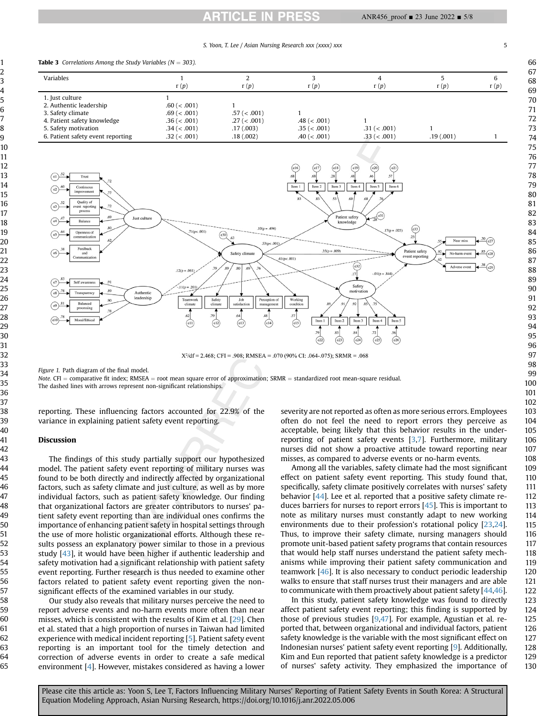# **ARTICLE IN PRESS**

S. Yoon, T. Lee / Asian Nursing Research xxx (xxxx) xxx 5

<span id="page-4-1"></span><span id="page-4-0"></span>

 $X^2/df = 2.468$ ; CFI = .908; RMSEA = .070 (90% CI: .064-.075); SRMR = .068

Figure 1. Path diagram of the final model.

Note. CFI = comparative fit index; RMSEA = root mean square error of approximation; SRMR = standardized root mean-square residual. The dashed lines with arrows represent non-significant relationships.

reporting. These influencing factors accounted for 22.9% of the variance in explaining patient safety event reporting.

#### Discussion

The findings of this study partially support our hypothesized model. The patient safety event reporting of military nurses was found to be both directly and indirectly affected by organizational factors, such as safety climate and just culture, as well as by more individual factors, such as patient safety knowledge. Our finding that organizational factors are greater contributors to nurses' patient safety event reporting than are individual ones confirms the importance of enhancing patient safety in hospital settings through the use of more holistic organizational efforts. Although these results possess an explanatory power similar to those in a previous study [\[43\]](#page-7-11), it would have been higher if authentic leadership and safety motivation had a significant relationship with patient safety event reporting. Further research is thus needed to examine other factors related to patient safety event reporting given the nonsignificant effects of the examined variables in our study.

Our study also reveals that military nurses perceive the need to report adverse events and no-harm events more often than near misses, which is consistent with the results of Kim et al. [[29](#page-6-27)]. Chen et al. stated that a high proportion of nurses in Taiwan had limited experience with medical incident reporting [\[5\]](#page-6-4). Patient safety event reporting is an important tool for the timely detection and correction of adverse events in order to create a safe medical environment [[4\]](#page-6-3). However, mistakes considered as having a lower severity are not reported as often as more serious errors. Employees often do not feel the need to report errors they perceive as acceptable, being likely that this behavior results in the underreporting of patient safety events [\[3](#page-6-2)[,7\]](#page-6-6). Furthermore, military nurses did not show a proactive attitude toward reporting near misses, as compared to adverse events or no-harm events.

Among all the variables, safety climate had the most significant effect on patient safety event reporting. This study found that, specifically, safety climate positively correlates with nurses' safety behavior [\[44\]](#page-7-12). Lee et al. reported that a positive safety climate reduces barriers for nurses to report errors [\[45\]](#page-7-13). This is important to note as military nurses must constantly adapt to new working environments due to their profession's rotational policy [[23](#page-6-22)[,24\]](#page-6-23). Thus, to improve their safety climate, nursing managers should promote unit-based patient safety programs that contain resources that would help staff nurses understand the patient safety mechanisms while improving their patient safety communication and teamwork [\[46\]](#page-7-14). It is also necessary to conduct periodic leadership walks to ensure that staff nurses trust their managers and are able to communicate with them proactively about patient safety [[44](#page-7-12)[,46\]](#page-7-14).

In this study, patient safety knowledge was found to directly affect patient safety event reporting; this finding is supported by those of previous studies [\[9](#page-6-8)[,47](#page-7-15)]. For example, Agustian et al. reported that, between organizational and individual factors, patient safety knowledge is the variable with the most significant effect on Indonesian nurses' patient safety event reporting [[9\]](#page-6-8). Additionally, Kim and Eun reported that patient safety knowledge is a predictor of nurses' safety activity. They emphasized the importance of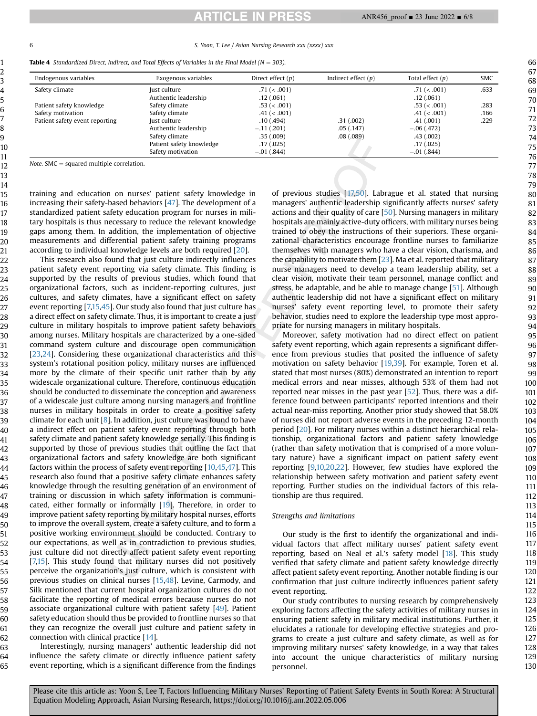6 S. Yoon, T. Lee / Asian Nursing Research xxx (xxxx) xxx

<span id="page-5-0"></span>

| <b>Table 4</b> Standardized Direct, Indirect, and Total Effects of Variables in the Final Model ( $N = 303$ ). |  |
|----------------------------------------------------------------------------------------------------------------|--|
|----------------------------------------------------------------------------------------------------------------|--|

| Endogenous variables           | Exogenous variables      | Direct effect $(p)$ | Indirect effect $(p)$ | Total effect $(p)$ | <b>SMC</b> |
|--------------------------------|--------------------------|---------------------|-----------------------|--------------------|------------|
| Safety climate                 | Just culture             | .71 (< .001)        |                       | .71 (< .001)       | .633       |
|                                | Authentic leadership     | .12(.061)           |                       | .12(.061)          |            |
| Patient safety knowledge       | Safety climate           | .53 (< .001)        |                       | .53 (< .001)       | .283       |
| Safety motivation              | Safety climate           | .41 (< .001)        |                       | .41 (< .001)       | .166       |
| Patient safety event reporting | Just culture             | .10(0.494)          | .31(.002)             | .41(.001)          | .229       |
|                                | Authentic leadership     | $-.11(.201)$        | .05(0.147)            | $-.06(.472)$       |            |
|                                | Safety climate           | .35(.009)           | .08(.089)             | .43(.002)          |            |
|                                | Patient safety knowledge | .17(025)            |                       | .17(0.025)         |            |
|                                | Safety motivation        | $-.01(.844)$        |                       | $-.01$ (.844)      |            |

Note.  $SMC =$  squared multiple correlation.

training and education on nurses' patient safety knowledge in increasing their safety-based behaviors [[47\]](#page-7-15). The development of a standardized patient safety education program for nurses in military hospitals is thus necessary to reduce the relevant knowledge gaps among them. In addition, the implementation of objective measurements and differential patient safety training programs according to individual knowledge levels are both required [\[20\]](#page-6-17).

This research also found that just culture indirectly influences patient safety event reporting via safety climate. This finding is supported by the results of previous studies, which found that organizational factors, such as incident-reporting cultures, just cultures, and safety climates, have a significant effect on safety event reporting [\[7,](#page-6-6)[15](#page-6-11)[,45\]](#page-7-13). Our study also found that just culture has a direct effect on safety climate. Thus, it is important to create a just culture in military hospitals to improve patient safety behaviors among nurses. Military hospitals are characterized by a one-sided command system culture and discourage open communication [[23](#page-6-22)[,24\]](#page-6-23). Considering these organizational characteristics and this system's rotational position policy, military nurses are influenced more by the climate of their specific unit rather than by any widescale organizational culture. Therefore, continuous education should be conducted to disseminate the conception and awareness of a widescale just culture among nursing managers and frontline nurses in military hospitals in order to create a positive safety climate for each unit  $[8]$  $[8]$  $[8]$ . In addition, just culture was found to have a indirect effect on patient safety event reporting through both safety climate and patient safety knowledge serially. This finding is supported by those of previous studies that outline the fact that organizational factors and safety knowledge are both significant factors within the process of safety event reporting [[10,](#page-6-18)[45](#page-7-13)[,47](#page-7-15)]. This research also found that a positive safety climate enhances safety knowledge through the resulting generation of an environment of training or discussion in which safety information is communicated, either formally or informally [[19\]](#page-6-16). Therefore, in order to improve patient safety reporting by military hospital nurses, efforts to improve the overall system, create a safety culture, and to form a positive working environment should be conducted. Contrary to our expectations, as well as in contradiction to previous studies, just culture did not directly affect patient safety event reporting [[7,](#page-6-6)[15](#page-6-11)]. This study found that military nurses did not positively perceive the organization's just culture, which is consistent with previous studies on clinical nurses [[15,](#page-6-11)[48\]](#page-7-16). Levine, Carmody, and Silk mentioned that current hospital organization cultures do not facilitate the reporting of medical errors because nurses do not associate organizational culture with patient safety [\[49\]](#page-7-17). Patient safety education should thus be provided to frontline nurses so that they can recognize the overall just culture and patient safety in connection with clinical practice [\[14](#page-6-9)].

Interestingly, nursing managers' authentic leadership did not influence the safety climate or directly influence patient safety event reporting, which is a significant difference from the findings

of previous studies [[17,](#page-6-14)[50](#page-7-18)]. Labrague et al. stated that nursing managers' authentic leadership significantly affects nurses' safety actions and their quality of care [\[50\]](#page-7-18). Nursing managers in military hospitals are mainly active-duty officers, with military nurses being trained to obey the instructions of their superiors. These organizational characteristics encourage frontline nurses to familiarize themselves with managers who have a clear vision, charisma, and the capability to motivate them [[23](#page-6-22)]. Ma et al. reported that military nurse managers need to develop a team leadership ability, set a clear vision, motivate their team personnel, manage conflict and stress, be adaptable, and be able to manage change [[51\]](#page-7-19). Although authentic leadership did not have a significant effect on military nurses' safety event reporting level, to promote their safety behavior, studies need to explore the leadership type most appropriate for nursing managers in military hospitals.

Moreover, safety motivation had no direct effect on patient safety event reporting, which again represents a significant difference from previous studies that posited the influence of safety motivation on safety behavior [[19,](#page-6-16)[39](#page-7-7)]. For example, Toren et al. stated that most nurses (80%) demonstrated an intention to report medical errors and near misses, although 53% of them had not reported near misses in the past year [[52](#page-7-20)]. Thus, there was a difference found between participants' reported intentions and their actual near-miss reporting. Another prior study showed that 58.0% of nurses did not report adverse events in the preceding 12-month period [[20](#page-6-17)]. For military nurses within a distinct hierarchical relationship, organizational factors and patient safety knowledge (rather than safety motivation that is comprised of a more voluntary nature) have a significant impact on patient safety event reporting [[9](#page-6-8)[,10,](#page-6-18)[20,](#page-6-17)[22](#page-6-20)]. However, few studies have explored the relationship between safety motivation and patient safety event reporting. Further studies on the individual factors of this relationship are thus required.

## Strengths and limitations

Our study is the first to identify the organizational and individual factors that affect military nurses' patient safety event reporting, based on Neal et al.'s safety model [[18\]](#page-6-15). This study verified that safety climate and patient safety knowledge directly affect patient safety event reporting. Another notable finding is our confirmation that just culture indirectly influences patient safety event reporting.

Our study contributes to nursing research by comprehensively exploring factors affecting the safety activities of military nurses in ensuring patient safety in military medical institutions. Further, it elucidates a rationale for developing effective strategies and programs to create a just culture and safety climate, as well as for improving military nurses' safety knowledge, in a way that takes into account the unique characteristics of military nursing personnel.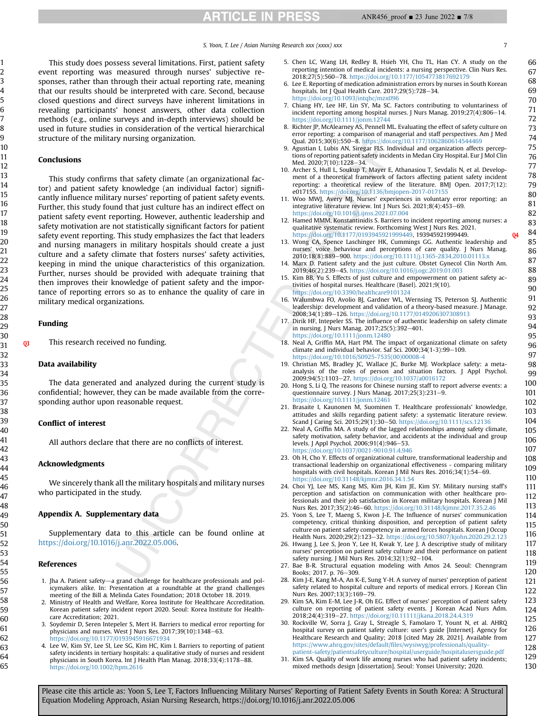**ARTICLE IN PRESS** 

This study does possess several limitations. First, patient safety event reporting was measured through nurses' subjective responses, rather than through their actual reporting rate, meaning that our results should be interpreted with care. Second, because closed questions and direct surveys have inherent limitations in revealing participants' honest answers, other data collection methods (e.g., online surveys and in-depth interviews) should be used in future studies in consideration of the vertical hierarchical structure of the military nursing organization.

## Conclusions

This study confirms that safety climate (an organizational factor) and patient safety knowledge (an individual factor) significantly influence military nurses' reporting of patient safety events. Further, this study found that just culture has an indirect effect on patient safety event reporting. However, authentic leadership and safety motivation are not statistically significant factors for patient safety event reporting. This study emphasizes the fact that leaders and nursing managers in military hospitals should create a just culture and a safety climate that fosters nurses' safety activities, keeping in mind the unique characteristics of this organization. Further, nurses should be provided with adequate training that then improves their knowledge of patient safety and the importance of reporting errors so as to enhance the quality of care in military medical organizations.

#### Funding

Q3 This research received no funding.

### Data availability

The data generated and analyzed during the current study is confidential; however, they can be made available from the corresponding author upon reasonable request.

#### Conflict of interest

All authors declare that there are no conflicts of interest.

#### Acknowledgments

We sincerely thank all the military hospitals and military nurses who participated in the study.

#### Appendix A. Supplementary data

Supplementary data to this article can be found online at [https://doi.org/10.1016/j.anr.2022.05.006.](https://doi.org/10.1016/j.anr.2022.05.006)

## <span id="page-6-0"></span>References

- <span id="page-6-1"></span>1. Jha A. Patient safety-a grand challenge for healthcare professionals and policymakers alike. In: Presentation at a roundtable at the grand challenges meeting of the Bill & Melinda Gates Foundation; 2018 October 18. 2019.
- <span id="page-6-2"></span>2. Ministry of Health and Welfare, Korea Institute for Healthcare Accreditation. Korean patient safety incident report 2020. Seoul: Korea Institute for Healthcare Accreditation; 2021.
- <span id="page-6-3"></span>3. Soydemir D, Seren Intepeler S, Mert H. Barriers to medical error reporting for physicians and nurses. West J Nurs Res.  $2017;39(10):1348-63$ . <https://doi.org/10.1177/0193945916671934>
- 4. Lee W, Kim SY, Lee SI, Lee SG, Kim HC, Kim I. Barriers to reporting of patient safety incidents in tertiary hospitals: a qualitative study of nurses and resident physicians in South Korea. Int J Health Plan Manag. 2018;33(4):1178-88. <https://doi.org/10.1002/hpm.2616>
- <span id="page-6-4"></span>5. Chen LC, Wang LH, Redley B, Hsieh YH, Chu TL, Han CY. A study on the reporting intention of medical incidents: a nursing perspective. Clin Nurs Res. 2018:27(5):560-78. <https://doi.org/10.1177/1054773817692179>
- <span id="page-6-5"></span>6. Lee E. Reporting of medication administration errors by nurses in South Korean hospitals. Int J Qual Health Care.  $2017;29(5);728-34$ . <https://doi.org/10.1093/intqhc/mzx096>
- <span id="page-6-6"></span>7. Chiang HY, Lee HF, Lin SY, Ma SC. Factors contributing to voluntariness of incident reporting among hospital nurses. J Nurs Manag. 2019;27(4):806–14.<br><https://doi.org/10.1111/jonm.12744>
- <span id="page-6-7"></span>8. Richter JP, McAlearney AS, Pennell ML. Evaluating the effect of safety culture on error reporting: a comparison of managerial and staff perspectives. Am J Med<br>Qual. 2015;30(6):550–8. <https://doi.org/10.1177/1062860614544469>
- <span id="page-6-8"></span>9. Agustian I, Lubis AN, Siregar FLS. Individual and organization affects perceptions of reporting patient safety incidents in Medan City Hospital. Eur J Mol Clin Med. 2020;7(10):1228-34.
- <span id="page-6-18"></span>10. Archer S, Hull L, Soukup T, Mayer E, Athanasiou T, Sevdalis N, et al. Development of a theoretical framework of factors affecting patient safety incident reporting: a theoretical review of the literature. BMJ Open. 2017;7(12):
- <span id="page-6-10"></span>e017155. <https://doi.org/10.1136/bmjopen-2017-017155> 11. Woo MWJ, Avery MJ. Nurses' experiences in voluntary error reporting: an integrative literature review. Int J Nurs Sci. 2021;8(4):453-69. <https://doi.org/10.1016/j.ijnss.2021.07.004>
- <span id="page-6-21"></span>12. Hamed MMM, Konstantinidis S. Barriers to incident reporting among nurses: a qualitative systematic review. Forthcoming West J Nurs Res. 2021. [https://doi.org/10.1177/0193945921999449,](https://doi.org/10.1177/0193945921999449) 193945921999449.
- <span id="page-6-12"></span>13. Wong CA, Spence Laschinger HK, Cummings GG. Authentic leadership and nurses' voice behaviour and perceptions of care quality. J Nurs Manag.<br>2010;18(8):889–900. <https://doi.org/10.1111/j.1365-2834.2010.01113.x>
- <span id="page-6-9"></span>14. Marx D. Patient safety and the just culture. Obstet Gynecol Clin North Am. 2019;46(2):239-45. <https://doi.org/10.1016/j.ogc.2019.01.003>
- <span id="page-6-11"></span>15. Kim BB, Yu S. Effects of just culture and empowerment on patient safety activities of hospital nurses. Healthcare (Basel). 2021;9(10). <https://doi.org/10.3390/healthcare9101324>
- <span id="page-6-13"></span>16. Walumbwa FO, Avolio BJ, Gardner WL, Wernsing TS, Peterson SJ. Authentic leadership: development and validation of a theory-based measure. J Manage. 2008;34(1):89-126. <https://doi.org/10.1177/0149206307308913>
- <span id="page-6-14"></span>17. Dirik HF, Intepeler SS. The influence of authentic leadership on safety climate in nursing. J Nurs Manag. 2017;25(5):392-401. <https://doi.org/10.1111/jonm.12480>
- <span id="page-6-15"></span>18. Neal A, Griffin MA, Hart PM. The impact of organizational climate on safety climate and individual behavior. Saf Sci. 2000; $34(1-3)$ :99-109. [https://doi.org/10.1016/S0925-7535\(00\)00008-4](https://doi.org/10.1016/S0925-7535(00)00008-4)
- <span id="page-6-16"></span>19. Christian MS, Bradley JC, Wallace JC, Burke MJ. Workplace safety: a metaanalysis of the roles of person and situation factors. J Appl Psychol. 2009;94(5):1103-27. <https://doi.org/10.1037/a0016172>
- <span id="page-6-17"></span>20. Hong S, Li Q. The reasons for Chinese nursing staff to report adverse events: a questionnaire survey. J Nurs Manag. 2017;25(3):231-9. <https://doi.org/10.1111/jonm.12461>
- <span id="page-6-19"></span>21. Brasaite I, Kaunonen M, Suominen T. Healthcare professionals' knowledge, attitudes and skills regarding patient safety: a systematic literature review. Scand J Caring Sci. 2015;29(1):30-50. <https://doi.org/10.1111/scs.12136>
- <span id="page-6-20"></span>22. Neal A, Griffin MA. A study of the lagged relationships among safety climate, safety motivation, safety behavior, and accidents at the individual and group levels. J Appl Psychol. 2006;91(4):946-53. <https://doi.org/10.1037/0021-9010.91.4.946>
- <span id="page-6-22"></span>23. Oh H, Cho Y. Effects of organizational culture, transformational leadership and transactional leadership on organizational effectiveness - comparing military hospitals with civil hospitals. Korean J Mil Nurs Res. 2016;34(1):54-69. <https://doi.org/10.31148/kjmnr.2016.34.1.54>
- <span id="page-6-23"></span>24. Choi YJ, Lee MS, Kang MS, Kim JH, Kim JE, Kim SY. Military nursing staff's perception and satisfaction on communication with other healthcare professionals and their job satisfaction in Korean military hospitals. Korean J Mil Nurs Res. 2017;35(2):46-60. <https://doi.org/10.31148/kjmnr.2017.35.2.46>
- <span id="page-6-24"></span>25. Yoon S, Lee T, Maeng S, Kwon J-E. The Influence of nurses' communication competency, critical thinking disposition, and perception of patient safety culture on patient safety competency in armed forces hospitals. Korean J Occup Health Nurs. 2020;29(2):123-32. <https://doi.org/10.5807/kjohn.2020.29.2.123>
- 26. Hwang J, Lee S, Jeon Y, Lee H, Kwak Y, Lee J. A descriptive study of military nurses' perception on patient safety culture and their performance on patient safety nursing. J Mil Nurs Res. 2014;32(1):92-104.
- <span id="page-6-25"></span>27. Bae B-R. Structural equation modeling with Amos 24. Seoul: Chenngram Books; 2017. p. 76-309.
- <span id="page-6-26"></span>28. Kim J-E, Kang M-A, An K-E, Sung Y-H. A survey of nurses' perception of patient safety related to hospital culture and reports of medical errors. J Korean Clin Nurs Res. 2007;13(3):169-79.
- <span id="page-6-27"></span>29. Kim SA, Kim E-M, Lee J-R, Oh EG. Effect of nurses' perception of patient safety culture on reporting of patient safety events. J Korean Acad Nurs Adm.<br>2018;24(4):319–27. <https://doi.org/10.11111/jkana.2018.24.4.319>
- <span id="page-6-28"></span>30. Rockville W, Sorra J, Gray L, Streagle S, Famolaro T, Yount N, et al. AHRQ hospital survey on patient safety culture: user's guide [Internet]. Agency for Healthcare Research and Quality; 2018 [cited May 28, 2021]. Available from [https://www.ahrq.gov/sites/default/](https://www.ahrq.gov/sites/default/files/wysiwyg/professionals/quality-patient-safety/patientsafetyculture/hospital/userguide/hospitalusersguide.pdf)files/wysiwyg/professionals/quality[patient-safety/patientsafetyculture/hospital/userguide/hospitalusersguide.pdf](https://www.ahrq.gov/sites/default/files/wysiwyg/professionals/quality-patient-safety/patientsafetyculture/hospital/userguide/hospitalusersguide.pdf)
- <span id="page-6-29"></span>31. Kim SA. Quality of work life among nurses who had patient safety incidents; mixed methods design [dissertation]. Seoul: Yonsei University; 2020.

66 67 68

129 130